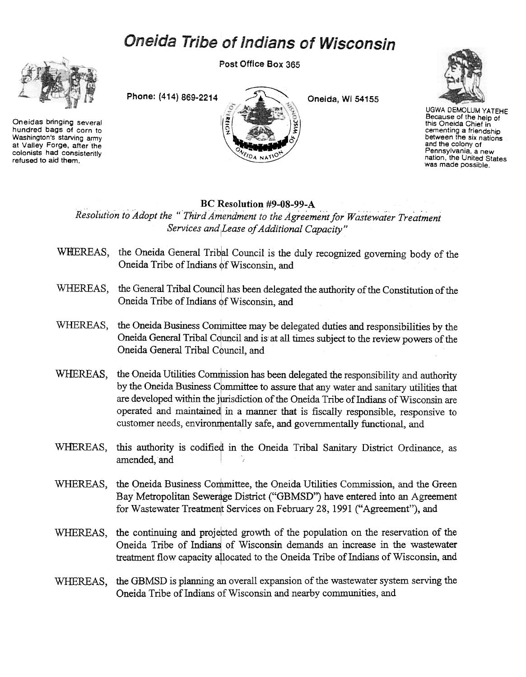## Oneida Tribe of Indians of Wisconsin

Post Office Box 365



Oneidas bringing several hundred bags of corn to Washington's starving army at Valley Forge, after the colonists had consistently refused to aid them.

Phone: (414) 869-2214



Oneida, Wi 54155



**UGWA DEMOLUM YATEHE** Because of the help of this Oneida Chief in cementing a friendship between the six nations and the colony of Pennsylvania, a new nation, the United States was made possible.

## BC Resolution #9-08-99-A

Resolution to Adopt the "Third Amendment to the Agreement for Wastewater Treatment Services and Lease of Additional Capacity"

- WHEREAS, the Oneida General Tribal Council is the duly recognized governing body of the Oneida Tribe of Indians of Wisconsin, and
- WHEREAS, the General Tribal Council has been delegated the authority of the Constitution of the Oneida Tribe of Indians of Wisconsin, and
- WHEREAS, the Oneida Business Committee may be delegated duties and responsibilities by the Oneida General Tribal Council and is at all times subject to the review powers of the Oneida General Tribal Council, and
- the Oneida Utilities Commission has been delegated the responsibility and authority WHEREAS. by the Oneida Business Committee to assure that any water and sanitary utilities that are developed within the jurisdiction of the Oneida Tribe of Indians of Wisconsin are operated and maintained in a manner that is fiscally responsible, responsive to customer needs, environmentally safe, and governmentally functional, and
- WHEREAS, this authority is codified in the Oneida Tribal Sanitary District Ordinance, as amended, and
- WHEREAS, the Oneida Business Committee, the Oneida Utilities Commission, and the Green Bay Metropolitan Sewerage District ("GBMSD") have entered into an Agreement for Wastewater Treatment Services on February 28, 1991 ("Agreement"), and
- WHEREAS, the continuing and projected growth of the population on the reservation of the Oneida Tribe of Indians of Wisconsin demands an increase in the wastewater treatment flow capacity allocated to the Oneida Tribe of Indians of Wisconsin, and
- WHEREAS, the GBMSD is planning an overall expansion of the wastewater system serving the Oneida Tribe of Indians of Wisconsin and nearby communities, and